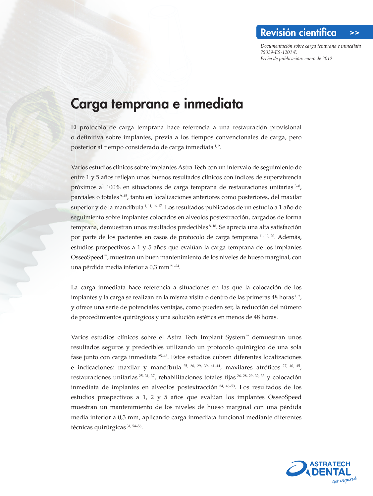*Documentación sobre carga temprana e inmediata 79039-ES-1201 © Fecha de publicación: enero de 2012* 

Revisión científica >>

## Carga temprana e inmediata

El protocolo de carga temprana hace referencia a una restauración provisional o definitiva sobre implantes, previa a los tiempos convencionales de carga, pero posterior al tiempo considerado de carga inmediata 1,2.

Varios estudios clínicos sobre implantes Astra Tech con un intervalo de seguimiento de entre 1 y 5 años reflejan unos buenos resultados clínicos con índices de supervivencia próximos al 100% en situaciones de carga temprana de restauraciones unitarias 3–8, parciales o totales 9–15, tanto en localizaciones anteriores como posteriores, del maxilar superior y de la mandíbula<sup>4, 11, 16, 17</sup>. Los resultados publicados de un estudio a 1 año de seguimiento sobre implantes colocados en alveolos postextracción, cargados de forma temprana, demuestran unos resultados predecibles 8,18. Se aprecia una alta satisfacción por parte de los pacientes en casos de protocolo de carga temprana 11, 19, 20. Además, estudios prospectivos a 1 y 5 años que evalúan la carga temprana de los implantes OsseoSpeed™, muestran un buen mantenimiento de los niveles de hueso marginal, con una pérdida media inferior a 0,3 mm 21–24.

La carga inmediata hace referencia a situaciones en las que la colocación de los implantes y la carga se realizan en la misma visita o dentro de las primeras 48 horas  $\frac{1}{2}$ , y ofrece una serie de potenciales ventajas, como pueden ser, la reducción del número de procedimientos quirúrgicos y una solución estética en menos de 48 horas.

Varios estudios clínicos sobre el Astra Tech Implant System™ demuestran unos resultados seguros y predecibles utilizando un protocolo quirúrgico de una sola fase junto con carga inmediata 25–43. Estos estudios cubren diferentes localizaciones e indicaciones: maxilar y mandíbula  $^{25, 28, 29, 39, 41-44}$ , maxilares atróficos  $^{27, 40, 45}$ , restauraciones unitarias  $^{25, 31, 37}$ , rehabilitaciones totales fijas  $^{26, 28, 29, 32, 33}$  y colocación inmediata de implantes en alveolos postextracción 34, 46–53. Los resultados de los estudios prospectivos a 1, 2 y 5 años que evalúan los implantes OsseoSpeed muestran un mantenimiento de los niveles de hueso marginal con una pérdida media inferior a 0,3 mm, aplicando carga inmediata funcional mediante diferentes técnicas quirúrgicas 31, 54–56.